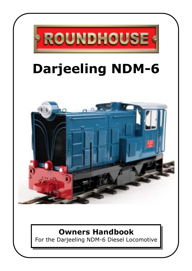

# **Owners Handbook**

For the Darjeeling NDM-6 Diesel Locomotive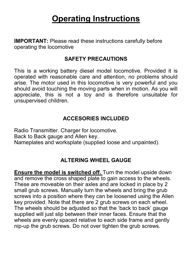# **Operating Instructions**

**IMPORTANT:** Please read these instructions carefully before operating the locomotive

## **SAFETY PRECAUTIONS**

This is a working battery diesel model locomotive. Provided it is operated with reasonable care and attention, no problems should arise. The motor used in this locomotive is very powerful and you should avoid touching the moving parts when in motion. As you will appreciate, this is not a toy and is therefore unsuitable for unsupervised children.

## **ACCESORIES INCLUDED**

Radio Transmitter. Charger for locomotive. Back to Back gauge and Allen key. Nameplates and worksplate (supplied loose and unpainted).

# **ALTERING WHEEL GAUGE**

**Ensure the model is switched off.** Turn the model upside down and remove the cross shaped plate to gain access to the wheels. These are moveable on their axles and are locked in place by 2 small grub screws. Manually turn the wheels and bring the grub screws into a position where they can be loosened using the Allen key provided. Note that there are 2 grub screws on each wheel. The wheels should be adjusted so that the 'back to back' gauge supplied will just slip between their inner faces. Ensure that the wheels are evenly spaced relative to each side frame and gently nip-up the grub screws. Do not over tighten the grub screws.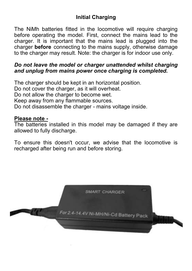# **Initial Charging**

The NiMh batteries fitted in the locomotive will require charging before operating the model. First, connect the mains lead to the charger. It is important that the mains lead is plugged into the charger **before** connecting to the mains supply, otherwise damage to the charger may result. Note: the charger is for indoor use only.

#### *Do not leave the model or charger unattended whilst charging and unplug from mains power once charging is completed.*

The charger should be kept in an horizontal position. Do not cover the charger, as it will overheat. Do not allow the charger to become wet. Keep away from any flammable sources. Do not disassemble the charger - mains voltage inside.

#### **Please note -**

The batteries installed in this model may be damaged if they are allowed to fully discharge.

To ensure this doesn't occur, we advise that the locomotive is recharged after being run and before storing.

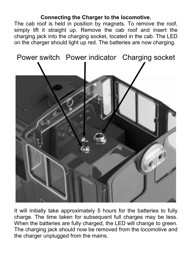### **Connecting the Charger to the locomotive.**

The cab roof is held in position by magnets. To remove the roof, simply lift it straight up. Remove the cab roof and insert the charging jack into the charging socket, located in the cab. The LED on the charger should light up red. The batteries are now charging.



It will initially take approximately 5 hours for the batteries to fully charge. The time taken for subsequent full charges may be less. When the batteries are fully charged, the LED will change to green. The charging jack should now be removed from the locomotive and the charger unplugged from the mains.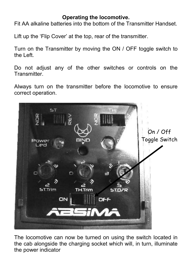## **Operating the locomotive.**

Fit AA alkaline batteries into the bottom of the Transmitter Handset.

Lift up the 'Flip Cover' at the top, rear of the transmitter.

Turn on the Transmitter by moving the ON / OFF toggle switch to the Left.

Do not adjust any of the other switches or controls on the **Transmitter** 

Always turn on the transmitter before the locomotive to ensure correct operation.



The locomotive can now be turned on using the switch located in the cab alongside the charging socket which will, in turn, illuminate the power indicator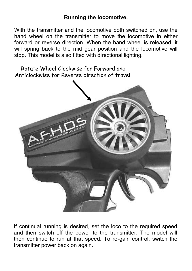### **Running the locomotive.**

With the transmitter and the locomotive both switched on, use the hand wheel on the transmitter to move the locomotive in either forward or reverse direction. When the hand wheel is released, it will spring back to the mid gear position and the locomotive will stop. This model is also fitted with directional lighting.

Rotate Wheel Clockwise for Forward and Anticlockwise for Reverse direction of travel.



If continual running is desired, set the loco to the required speed and then switch off the power to the transmitter. The model will then continue to run at that speed. To re-gain control, switch the transmitter power back on again.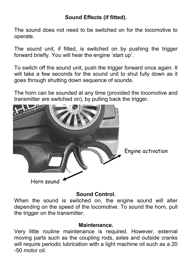# **Sound Effects (if fitted).**

The sound does not need to be switched on for the locomotive to operate.

The sound unit, if fitted, is switched on by pushing the trigger forward briefly. You will hear the engine 'start up'.

To switch off the sound unit, push the trigger forward once again. It will take a few seconds for the sound unit to shut fully down as it goes through shutting down sequence of sounds.

The horn can be sounded at any time (provided the locomotive and transmitter are switched on), by pulling back the trigger.



#### **Sound Control.**

When the sound is switched on, the engine sound will alter depending on the speed of the locomotive. To sound the horn, pull the trigger on the transmitter.

#### **Maintenance.**

Very little routine maintenance is required. However, external moving parts such as the coupling rods, axles and outside cranks will require periodic lubrication with a light machine oil such as a 20 -50 motor oil.